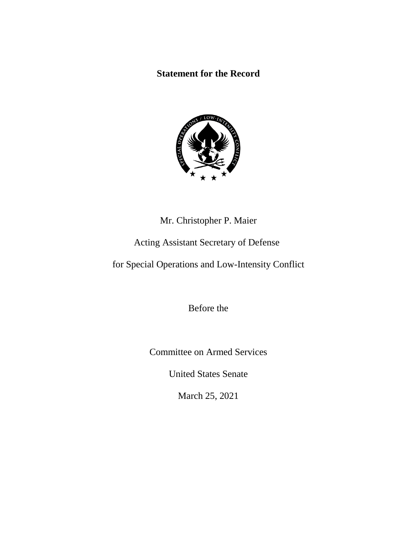**Statement for the Record**



## Mr. Christopher P. Maier

# Acting Assistant Secretary of Defense

for Special Operations and Low-Intensity Conflict

Before the

Committee on Armed Services

United States Senate

March 25, 2021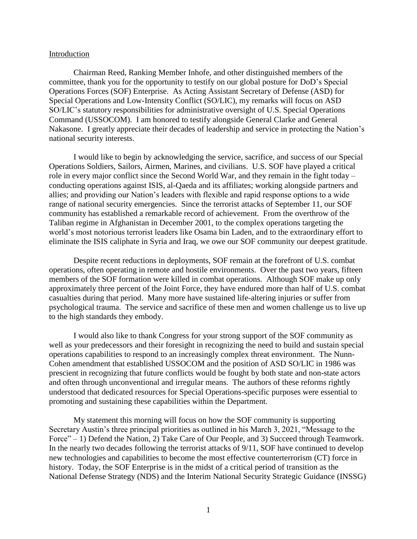#### Introduction

Chairman Reed, Ranking Member Inhofe, and other distinguished members of the committee, thank you for the opportunity to testify on our global posture for DoD's Special Operations Forces (SOF) Enterprise. As Acting Assistant Secretary of Defense (ASD) for Special Operations and Low-Intensity Conflict (SO/LIC), my remarks will focus on ASD SO/LIC's statutory responsibilities for administrative oversight of U.S. Special Operations Command (USSOCOM). I am honored to testify alongside General Clarke and General Nakasone. I greatly appreciate their decades of leadership and service in protecting the Nation's national security interests.

I would like to begin by acknowledging the service, sacrifice, and success of our Special Operations Soldiers, Sailors, Airmen, Marines, and civilians. U.S. SOF have played a critical role in every major conflict since the Second World War, and they remain in the fight today – conducting operations against ISIS, al-Qaeda and its affiliates; working alongside partners and allies; and providing our Nation's leaders with flexible and rapid response options to a wide range of national security emergencies. Since the terrorist attacks of September 11, our SOF community has established a remarkable record of achievement. From the overthrow of the Taliban regime in Afghanistan in December 2001, to the complex operations targeting the world's most notorious terrorist leaders like Osama bin Laden, and to the extraordinary effort to eliminate the ISIS caliphate in Syria and Iraq, we owe our SOF community our deepest gratitude.

Despite recent reductions in deployments, SOF remain at the forefront of U.S. combat operations, often operating in remote and hostile environments. Over the past two years, fifteen members of the SOF formation were killed in combat operations. Although SOF make up only approximately three percent of the Joint Force, they have endured more than half of U.S. combat casualties during that period. Many more have sustained life-altering injuries or suffer from psychological trauma. The service and sacrifice of these men and women challenge us to live up to the high standards they embody.

I would also like to thank Congress for your strong support of the SOF community as well as your predecessors and their foresight in recognizing the need to build and sustain special operations capabilities to respond to an increasingly complex threat environment. The Nunn-Cohen amendment that established USSOCOM and the position of ASD SO/LIC in 1986 was prescient in recognizing that future conflicts would be fought by both state and non-state actors and often through unconventional and irregular means. The authors of these reforms rightly understood that dedicated resources for Special Operations-specific purposes were essential to promoting and sustaining these capabilities within the Department.

My statement this morning will focus on how the SOF community is supporting Secretary Austin's three principal priorities as outlined in his March 3, 2021, "Message to the Force" – 1) Defend the Nation, 2) Take Care of Our People, and 3) Succeed through Teamwork. In the nearly two decades following the terrorist attacks of 9/11, SOF have continued to develop new technologies and capabilities to become the most effective counterterrorism (CT) force in history. Today, the SOF Enterprise is in the midst of a critical period of transition as the National Defense Strategy (NDS) and the Interim National Security Strategic Guidance (INSSG)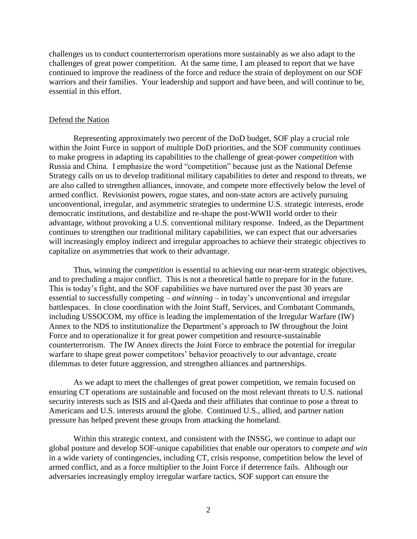challenges us to conduct counterterrorism operations more sustainably as we also adapt to the challenges of great power competition. At the same time, I am pleased to report that we have continued to improve the readiness of the force and reduce the strain of deployment on our SOF warriors and their families. Your leadership and support and have been, and will continue to be, essential in this effort.

#### Defend the Nation

Representing approximately two percent of the DoD budget, SOF play a crucial role within the Joint Force in support of multiple DoD priorities, and the SOF community continues to make progress in adapting its capabilities to the challenge of great-power *competition* with Russia and China. I emphasize the word "competition" because just as the National Defense Strategy calls on us to develop traditional military capabilities to deter and respond to threats, we are also called to strengthen alliances, innovate, and compete more effectively below the level of armed conflict. Revisionist powers, rogue states, and non-state actors are actively pursuing unconventional, irregular, and asymmetric strategies to undermine U.S. strategic interests, erode democratic institutions, and destabilize and re-shape the post-WWII world order to their advantage, without provoking a U.S. conventional military response. Indeed, as the Department continues to strengthen our traditional military capabilities, we can expect that our adversaries will increasingly employ indirect and irregular approaches to achieve their strategic objectives to capitalize on asymmetries that work to their advantage.

Thus, winning the *competition* is essential to achieving our near-term strategic objectives, and to precluding a major conflict. This is not a theoretical battle to prepare for in the future. This is today's fight, and the SOF capabilities we have nurtured over the past 30 years are essential to successfully competing – *and winning* – in today's unconventional and irregular battlespaces. In close coordination with the Joint Staff, Services, and Combatant Commands, including USSOCOM, my office is leading the implementation of the Irregular Warfare (IW) Annex to the NDS to institutionalize the Department's approach to IW throughout the Joint Force and to operationalize it for great power competition and resource-sustainable counterterrorism. The IW Annex directs the Joint Force to embrace the potential for irregular warfare to shape great power competitors' behavior proactively to our advantage, create dilemmas to deter future aggression, and strengthen alliances and partnerships.

As we adapt to meet the challenges of great power competition, we remain focused on ensuring CT operations are sustainable and focused on the most relevant threats to U.S. national security interests such as ISIS and al-Qaeda and their affiliates that continue to pose a threat to Americans and U.S. interests around the globe. Continued U.S., allied, and partner nation pressure has helped prevent these groups from attacking the homeland.

Within this strategic context, and consistent with the INSSG, we continue to adapt our global posture and develop SOF-unique capabilities that enable our operators to *compete and win* in a wide variety of contingencies, including CT, crisis response, competition below the level of armed conflict, and as a force multiplier to the Joint Force if deterrence fails. Although our adversaries increasingly employ irregular warfare tactics, SOF support can ensure the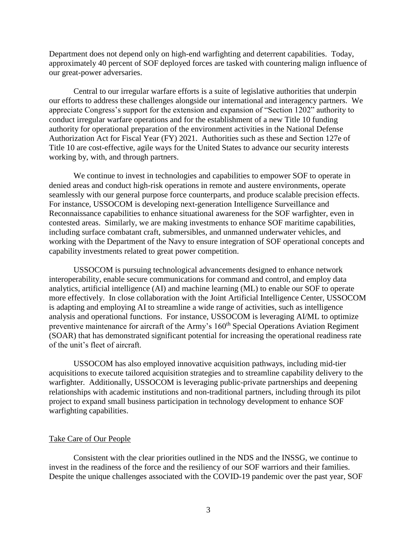Department does not depend only on high-end warfighting and deterrent capabilities. Today, approximately 40 percent of SOF deployed forces are tasked with countering malign influence of our great-power adversaries.

Central to our irregular warfare efforts is a suite of legislative authorities that underpin our efforts to address these challenges alongside our international and interagency partners. We appreciate Congress's support for the extension and expansion of "Section 1202" authority to conduct irregular warfare operations and for the establishment of a new Title 10 funding authority for operational preparation of the environment activities in the National Defense Authorization Act for Fiscal Year (FY) 2021. Authorities such as these and Section 127e of Title 10 are cost-effective, agile ways for the United States to advance our security interests working by, with, and through partners.

We continue to invest in technologies and capabilities to empower SOF to operate in denied areas and conduct high-risk operations in remote and austere environments, operate seamlessly with our general purpose force counterparts, and produce scalable precision effects. For instance, USSOCOM is developing next-generation Intelligence Surveillance and Reconnaissance capabilities to enhance situational awareness for the SOF warfighter, even in contested areas. Similarly, we are making investments to enhance SOF maritime capabilities, including surface combatant craft, submersibles, and unmanned underwater vehicles, and working with the Department of the Navy to ensure integration of SOF operational concepts and capability investments related to great power competition.

USSOCOM is pursuing technological advancements designed to enhance network interoperability, enable secure communications for command and control, and employ data analytics, artificial intelligence (AI) and machine learning (ML) to enable our SOF to operate more effectively. In close collaboration with the Joint Artificial Intelligence Center, USSOCOM is adapting and employing AI to streamline a wide range of activities, such as intelligence analysis and operational functions. For instance, USSOCOM is leveraging AI/ML to optimize preventive maintenance for aircraft of the Army's 160<sup>th</sup> Special Operations Aviation Regiment (SOAR) that has demonstrated significant potential for increasing the operational readiness rate of the unit's fleet of aircraft.

USSOCOM has also employed innovative acquisition pathways, including mid-tier acquisitions to execute tailored acquisition strategies and to streamline capability delivery to the warfighter. Additionally, USSOCOM is leveraging public-private partnerships and deepening relationships with academic institutions and non-traditional partners, including through its pilot project to expand small business participation in technology development to enhance SOF warfighting capabilities.

#### Take Care of Our People

Consistent with the clear priorities outlined in the NDS and the INSSG, we continue to invest in the readiness of the force and the resiliency of our SOF warriors and their families. Despite the unique challenges associated with the COVID-19 pandemic over the past year, SOF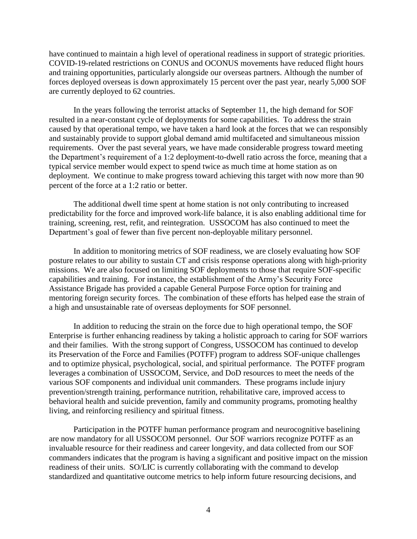have continued to maintain a high level of operational readiness in support of strategic priorities. COVID-19-related restrictions on CONUS and OCONUS movements have reduced flight hours and training opportunities, particularly alongside our overseas partners. Although the number of forces deployed overseas is down approximately 15 percent over the past year, nearly 5,000 SOF are currently deployed to 62 countries.

In the years following the terrorist attacks of September 11, the high demand for SOF resulted in a near-constant cycle of deployments for some capabilities. To address the strain caused by that operational tempo, we have taken a hard look at the forces that we can responsibly and sustainably provide to support global demand amid multifaceted and simultaneous mission requirements. Over the past several years, we have made considerable progress toward meeting the Department's requirement of a 1:2 deployment-to-dwell ratio across the force, meaning that a typical service member would expect to spend twice as much time at home station as on deployment. We continue to make progress toward achieving this target with now more than 90 percent of the force at a 1:2 ratio or better.

The additional dwell time spent at home station is not only contributing to increased predictability for the force and improved work-life balance, it is also enabling additional time for training, screening, rest, refit, and reintegration. USSOCOM has also continued to meet the Department's goal of fewer than five percent non-deployable military personnel.

In addition to monitoring metrics of SOF readiness, we are closely evaluating how SOF posture relates to our ability to sustain CT and crisis response operations along with high-priority missions. We are also focused on limiting SOF deployments to those that require SOF-specific capabilities and training. For instance, the establishment of the Army's Security Force Assistance Brigade has provided a capable General Purpose Force option for training and mentoring foreign security forces. The combination of these efforts has helped ease the strain of a high and unsustainable rate of overseas deployments for SOF personnel.

In addition to reducing the strain on the force due to high operational tempo, the SOF Enterprise is further enhancing readiness by taking a holistic approach to caring for SOF warriors and their families. With the strong support of Congress, USSOCOM has continued to develop its Preservation of the Force and Families (POTFF) program to address SOF-unique challenges and to optimize physical, psychological, social, and spiritual performance. The POTFF program leverages a combination of USSOCOM, Service, and DoD resources to meet the needs of the various SOF components and individual unit commanders. These programs include injury prevention/strength training, performance nutrition, rehabilitative care, improved access to behavioral health and suicide prevention, family and community programs, promoting healthy living, and reinforcing resiliency and spiritual fitness.

Participation in the POTFF human performance program and neurocognitive baselining are now mandatory for all USSOCOM personnel. Our SOF warriors recognize POTFF as an invaluable resource for their readiness and career longevity, and data collected from our SOF commanders indicates that the program is having a significant and positive impact on the mission readiness of their units. SO/LIC is currently collaborating with the command to develop standardized and quantitative outcome metrics to help inform future resourcing decisions, and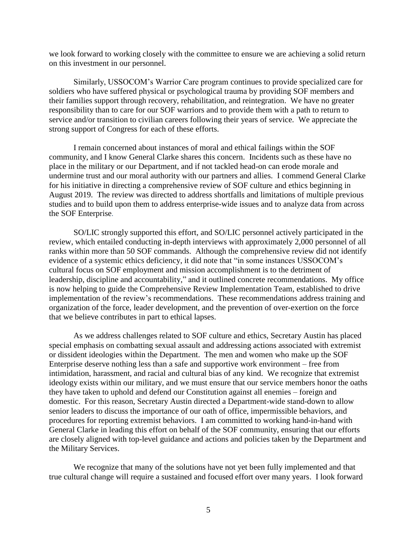we look forward to working closely with the committee to ensure we are achieving a solid return on this investment in our personnel.

Similarly, USSOCOM's Warrior Care program continues to provide specialized care for soldiers who have suffered physical or psychological trauma by providing SOF members and their families support through recovery, rehabilitation, and reintegration. We have no greater responsibility than to care for our SOF warriors and to provide them with a path to return to service and/or transition to civilian careers following their years of service. We appreciate the strong support of Congress for each of these efforts.

I remain concerned about instances of moral and ethical failings within the SOF community, and I know General Clarke shares this concern. Incidents such as these have no place in the military or our Department, and if not tackled head-on can erode morale and undermine trust and our moral authority with our partners and allies. I commend General Clarke for his initiative in directing a comprehensive review of SOF culture and ethics beginning in August 2019. The review was directed to address shortfalls and limitations of multiple previous studies and to build upon them to address enterprise-wide issues and to analyze data from across the SOF Enterprise.

SO/LIC strongly supported this effort, and SO/LIC personnel actively participated in the review, which entailed conducting in-depth interviews with approximately 2,000 personnel of all ranks within more than 50 SOF commands. Although the comprehensive review did not identify evidence of a systemic ethics deficiency, it did note that "in some instances USSOCOM's cultural focus on SOF employment and mission accomplishment is to the detriment of leadership, discipline and accountability," and it outlined concrete recommendations. My office is now helping to guide the Comprehensive Review Implementation Team, established to drive implementation of the review's recommendations. These recommendations address training and organization of the force, leader development, and the prevention of over-exertion on the force that we believe contributes in part to ethical lapses.

As we address challenges related to SOF culture and ethics, Secretary Austin has placed special emphasis on combatting sexual assault and addressing actions associated with extremist or dissident ideologies within the Department. The men and women who make up the SOF Enterprise deserve nothing less than a safe and supportive work environment – free from intimidation, harassment, and racial and cultural bias of any kind. We recognize that extremist ideology exists within our military, and we must ensure that our service members honor the oaths they have taken to uphold and defend our Constitution against all enemies – foreign and domestic. For this reason, Secretary Austin directed a Department-wide stand-down to allow senior leaders to discuss the importance of our oath of office, impermissible behaviors, and procedures for reporting extremist behaviors. I am committed to working hand-in-hand with General Clarke in leading this effort on behalf of the SOF community, ensuring that our efforts are closely aligned with top-level guidance and actions and policies taken by the Department and the Military Services.

We recognize that many of the solutions have not yet been fully implemented and that true cultural change will require a sustained and focused effort over many years. I look forward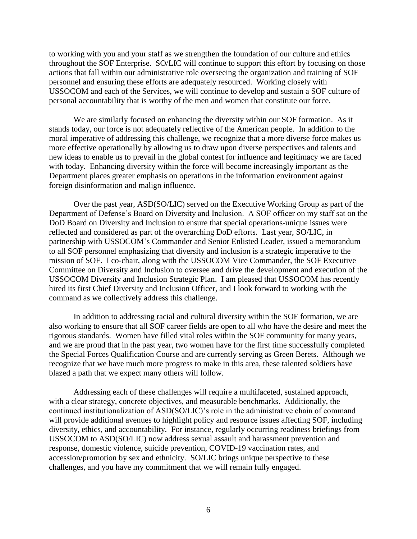to working with you and your staff as we strengthen the foundation of our culture and ethics throughout the SOF Enterprise. SO/LIC will continue to support this effort by focusing on those actions that fall within our administrative role overseeing the organization and training of SOF personnel and ensuring these efforts are adequately resourced. Working closely with USSOCOM and each of the Services, we will continue to develop and sustain a SOF culture of personal accountability that is worthy of the men and women that constitute our force.

We are similarly focused on enhancing the diversity within our SOF formation. As it stands today, our force is not adequately reflective of the American people. In addition to the moral imperative of addressing this challenge, we recognize that a more diverse force makes us more effective operationally by allowing us to draw upon diverse perspectives and talents and new ideas to enable us to prevail in the global contest for influence and legitimacy we are faced with today. Enhancing diversity within the force will become increasingly important as the Department places greater emphasis on operations in the information environment against foreign disinformation and malign influence.

Over the past year, ASD(SO/LIC) served on the Executive Working Group as part of the Department of Defense's Board on Diversity and Inclusion. A SOF officer on my staff sat on the DoD Board on Diversity and Inclusion to ensure that special operations-unique issues were reflected and considered as part of the overarching DoD efforts. Last year, SO/LIC, in partnership with USSOCOM's Commander and Senior Enlisted Leader, issued a memorandum to all SOF personnel emphasizing that diversity and inclusion is a strategic imperative to the mission of SOF. I co-chair, along with the USSOCOM Vice Commander, the SOF Executive Committee on Diversity and Inclusion to oversee and drive the development and execution of the USSOCOM Diversity and Inclusion Strategic Plan. I am pleased that USSOCOM has recently hired its first Chief Diversity and Inclusion Officer, and I look forward to working with the command as we collectively address this challenge.

In addition to addressing racial and cultural diversity within the SOF formation, we are also working to ensure that all SOF career fields are open to all who have the desire and meet the rigorous standards. Women have filled vital roles within the SOF community for many years, and we are proud that in the past year, two women have for the first time successfully completed the Special Forces Qualification Course and are currently serving as Green Berets. Although we recognize that we have much more progress to make in this area, these talented soldiers have blazed a path that we expect many others will follow.

Addressing each of these challenges will require a multifaceted, sustained approach, with a clear strategy, concrete objectives, and measurable benchmarks. Additionally, the continued institutionalization of ASD(SO/LIC)'s role in the administrative chain of command will provide additional avenues to highlight policy and resource issues affecting SOF, including diversity, ethics, and accountability. For instance, regularly occurring readiness briefings from USSOCOM to ASD(SO/LIC) now address sexual assault and harassment prevention and response, domestic violence, suicide prevention, COVID-19 vaccination rates, and accession/promotion by sex and ethnicity. SO/LIC brings unique perspective to these challenges, and you have my commitment that we will remain fully engaged.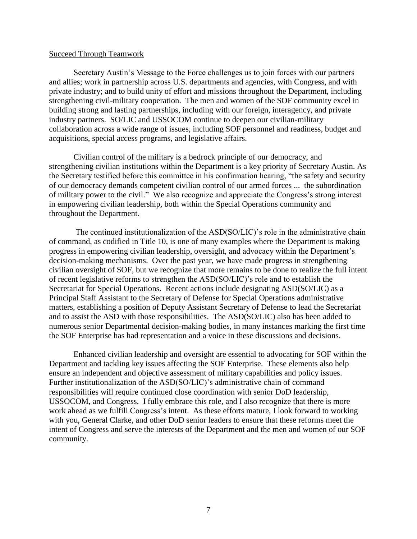#### Succeed Through Teamwork

Secretary Austin's Message to the Force challenges us to join forces with our partners and allies; work in partnership across U.S. departments and agencies, with Congress, and with private industry; and to build unity of effort and missions throughout the Department, including strengthening civil-military cooperation. The men and women of the SOF community excel in building strong and lasting partnerships, including with our foreign, interagency, and private industry partners. SO/LIC and USSOCOM continue to deepen our civilian-military collaboration across a wide range of issues, including SOF personnel and readiness, budget and acquisitions, special access programs, and legislative affairs.

Civilian control of the military is a bedrock principle of our democracy, and strengthening civilian institutions within the Department is a key priority of Secretary Austin. As the Secretary testified before this committee in his confirmation hearing, "the safety and security of our democracy demands competent civilian control of our armed forces ... the subordination of military power to the civil." We also recognize and appreciate the Congress's strong interest in empowering civilian leadership, both within the Special Operations community and throughout the Department.

The continued institutionalization of the ASD(SO/LIC)'s role in the administrative chain of command, as codified in Title 10, is one of many examples where the Department is making progress in empowering civilian leadership, oversight, and advocacy within the Department's decision-making mechanisms. Over the past year, we have made progress in strengthening civilian oversight of SOF, but we recognize that more remains to be done to realize the full intent of recent legislative reforms to strengthen the ASD(SO/LIC)'s role and to establish the Secretariat for Special Operations. Recent actions include designating ASD(SO/LIC) as a Principal Staff Assistant to the Secretary of Defense for Special Operations administrative matters, establishing a position of Deputy Assistant Secretary of Defense to lead the Secretariat and to assist the ASD with those responsibilities. The ASD(SO/LIC) also has been added to numerous senior Departmental decision-making bodies, in many instances marking the first time the SOF Enterprise has had representation and a voice in these discussions and decisions.

Enhanced civilian leadership and oversight are essential to advocating for SOF within the Department and tackling key issues affecting the SOF Enterprise. These elements also help ensure an independent and objective assessment of military capabilities and policy issues. Further institutionalization of the ASD(SO/LIC)'s administrative chain of command responsibilities will require continued close coordination with senior DoD leadership, USSOCOM, and Congress. I fully embrace this role, and I also recognize that there is more work ahead as we fulfill Congress's intent. As these efforts mature, I look forward to working with you, General Clarke, and other DoD senior leaders to ensure that these reforms meet the intent of Congress and serve the interests of the Department and the men and women of our SOF community.